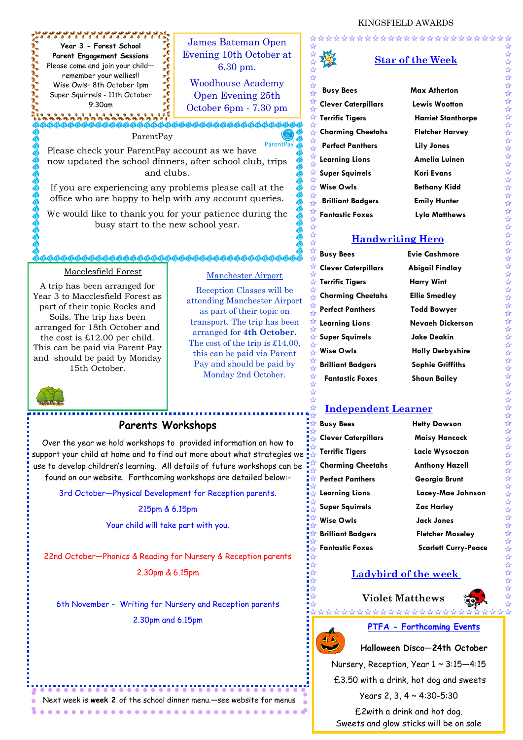

Next week is **week 2** of the school dinner menu.—see website for menus

,,,,,,,,,,,,,,,,,,,,,,,,,,,,



## **PTFA - Forthcoming Events**

**Halloween Disco—24th October**

Nursery, Reception, Year 1 ~ 3:15—4:15

£3.50 with a drink, hot dog and sweets

Years 2, 3, 4 ~ 4:30-5:30

£2with a drink and hot dog. Sweets and glow sticks will be on sale